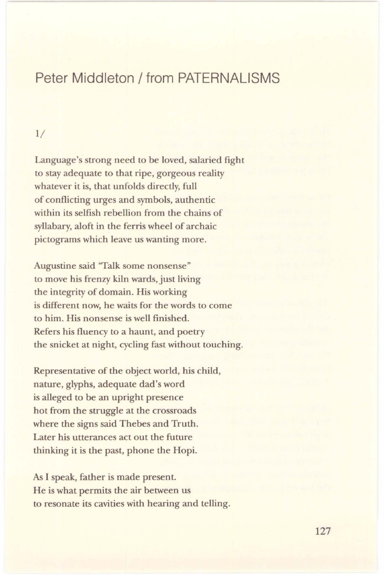## Peter Middleton / from PATFRNALISMS

1/

Language's strong need to be loved, salaried fight to stay adequate to that ripe, gorgeous reality whatever it is, that unfolds directly, full of conflicting urges and symbols, authentic within its selfish rebellion from the chains of syllabary, aloft in the ferris wheel of archaic pictograms which leave us wanting more.

Augustine said "Talk some nonsense" to move his frenzy kiln wards, just living the integrity of domain. His working is different now, he waits for the words to come to him. His nonsense is well finished. Refers his fluency to a haunt, and poetry the snicket at night, cycling fast without touching.

Representative of the object world, his child, nature, glyphs, adequate dad's word is alleged to be an upright presence hot from the struggle at the crossroads where the signs said Thebes and Truth. Later his utterances act out the future thinking it is the past, phone the Hopi.

As I speak, father is made present. He is what permits the air between us to resonate its cavities with hearing and telling.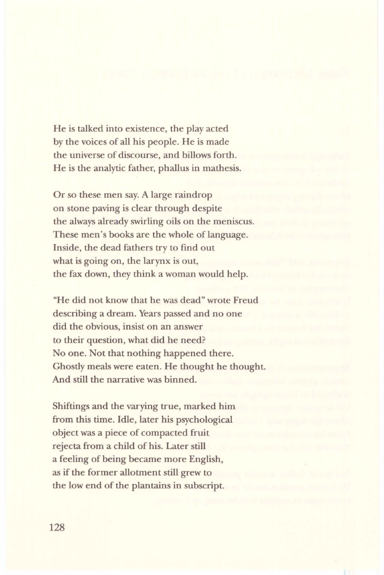He is talked into existence, the play acted by the voices of all his people. He is made the universe of discourse, and billows forth. He is the analytic father, phallus in mathesis.

Or so these men say. A large raindrop on stone paving is clear through despite the always already swirling oils on the meniscus. These men's books are the whole of language. Inside, the dead fathers try to find out what is going on, the larynx is out, the fax down, they think a woman would help.

"He did not know that he was dead" wrote Freud describing a dream. Years passed and no one did the obvious, insist on an answer to their question, what did he need? No one. Not that nothing happened there. Ghostly meals were eaten. He thought he thought. And still the narrative was binned.

Shiftings and the varying true, marked him from this time. Idle, later his psychological object was a piece of compacted fruit rejecta from a child of his. Later still a feeling of being became more English, as if the former allotment still grew to the low end of the plantains in subscript.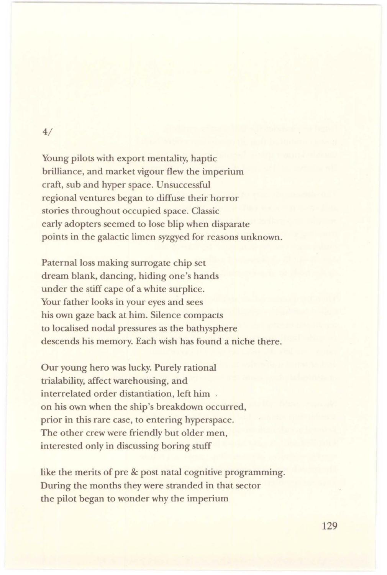## 4/

Young pilots with export mentality, haptic brilliance, and market vigour flew the imperium craft, sub and hyper space. Unsuccessful regional ventures began to diffuse their horror stories throughout occupied space. Classic early adopters seemed to lose blip when disparate points in the galactic limen syzgyed for reasons unknown.

Paternal loss making surrogate chip set dream blank, dancing, hiding one's hands under the stiff cape of a white surplice. Your father looks in your eyes and sees his own gaze back at him. Silence compacts to localised nodal pressures as the bathysphere descends his memory. Each wish has found a niche there.

Our young hero was lucky. Purely rational trialability, affect warehousing, and interrelated order distantiation, left him . on his own when the ship's breakdown occurred, prior in this rare case, to entering hyperspace. The other crew were friendly but older men, interested only in discussing boring stuff

like the merits of pre & post natal cognitive programming. During the months they were stranded in that sector the pilot began to wonder why the imperium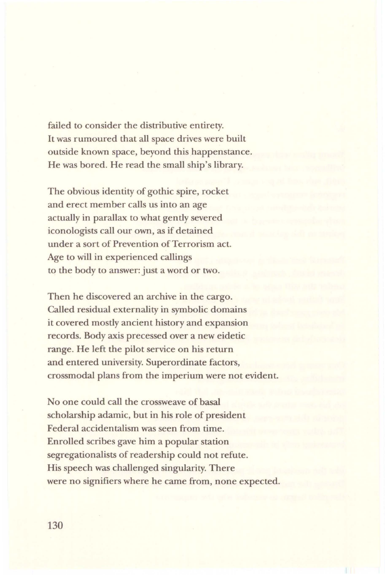failed to consider the distributive entirety. It was rumoured that all space drives were built outside known space, beyond this happenstance. He was bored. He read the small ship's library.

The obvious identity of gothic spire, rocket and erect member calls us into an age actually in parallax to what gently severed iconologists call our own, as if detained under a sort of Prevention of Terrorism act. Age to will in experienced callings to the body to answer: just a word or two.

Then he discovered an archive in the cargo. Called residual externality in symbolic domains it covered mostly ancient history and expansion records. Body axis precessed over a new eidetic range. He left the pilot service on his return and entered university. Superordinate factors, crossmodal plans from the imperium were not evident.

No one could call the crossweave of basal scholarship adamic, but in his role of president Federal accidentalism was seen from time. Enrolled scribes gave him a popular station segregationalists of readership could not refute. His speech was challenged singularity. There were no signifiers where he came from, none expected.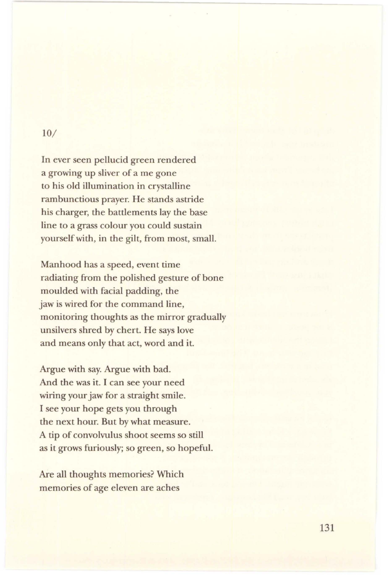## 10/

In ever seen pellucid green rendered a growing up sliver of a me gone to his old illumination in crystalline rambunctious prayer. He stands astride his charger, the battlements lay the base line to a grass colour you could sustain yourself with, in the gilt, from most, small.

Manhood has a speed, event time radiating from the polished gesture of bone moulded with facial padding, the jaw is wired for the command line, monitoring thoughts as the mirror gradually unsilvers shred by chert. He says love and means only that act, word and it.

Argue with say. Argue with bad. And the was it. I can see your need wiring your jaw for a straight smile. I see your hope gets you through the next hour. But by what measure. A tip of convolvulus shoot seems so still as it grows furiously; so green, so hopeful.

Are all thoughts memories? Which memories of age eleven are aches